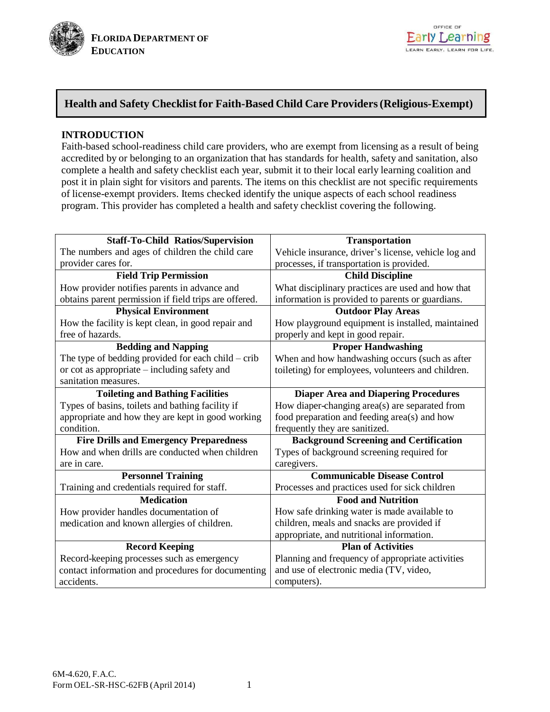

# **Health and Safety Checklist for Faith-Based Child Care Providers(Religious-Exempt)**

# **INTRODUCTION**

Faith-based school-readiness child care providers, who are exempt from licensing as a result of being accredited by or belonging to an organization that has standards for health, safety and sanitation, also complete a health and safety checklist each year, submit it to their local early learning coalition and post it in plain sight for visitors and parents. The items on this checklist are not specific requirements of license-exempt providers. Items checked identify the unique aspects of each school readiness program. This provider has completed a health and safety checklist covering the following.

| <b>Staff-To-Child Ratios/Supervision</b>              | <b>Transportation</b>                                |
|-------------------------------------------------------|------------------------------------------------------|
| The numbers and ages of children the child care       | Vehicle insurance, driver's license, vehicle log and |
| provider cares for.                                   | processes, if transportation is provided.            |
| <b>Field Trip Permission</b>                          | <b>Child Discipline</b>                              |
| How provider notifies parents in advance and          | What disciplinary practices are used and how that    |
| obtains parent permission if field trips are offered. | information is provided to parents or guardians.     |
| <b>Physical Environment</b>                           | <b>Outdoor Play Areas</b>                            |
| How the facility is kept clean, in good repair and    | How playground equipment is installed, maintained    |
| free of hazards.                                      | properly and kept in good repair.                    |
| <b>Bedding and Napping</b>                            | <b>Proper Handwashing</b>                            |
| The type of bedding provided for each child $-$ crib  | When and how handwashing occurs (such as after       |
| or cot as appropriate – including safety and          | toileting) for employees, volunteers and children.   |
| sanitation measures.                                  |                                                      |
| <b>Toileting and Bathing Facilities</b>               | <b>Diaper Area and Diapering Procedures</b>          |
| Types of basins, toilets and bathing facility if      | How diaper-changing area(s) are separated from       |
| appropriate and how they are kept in good working     | food preparation and feeding area(s) and how         |
| condition.                                            | frequently they are sanitized.                       |
| <b>Fire Drills and Emergency Preparedness</b>         | <b>Background Screening and Certification</b>        |
| How and when drills are conducted when children       | Types of background screening required for           |
| are in care.                                          | caregivers.                                          |
| <b>Personnel Training</b>                             | <b>Communicable Disease Control</b>                  |
| Training and credentials required for staff.          | Processes and practices used for sick children       |
| <b>Medication</b>                                     | <b>Food and Nutrition</b>                            |
| How provider handles documentation of                 | How safe drinking water is made available to         |
| medication and known allergies of children.           | children, meals and snacks are provided if           |
|                                                       | appropriate, and nutritional information.            |
| <b>Record Keeping</b>                                 | <b>Plan of Activities</b>                            |
| Record-keeping processes such as emergency            | Planning and frequency of appropriate activities     |
| contact information and procedures for documenting    | and use of electronic media (TV, video,              |
| accidents.                                            | computers).                                          |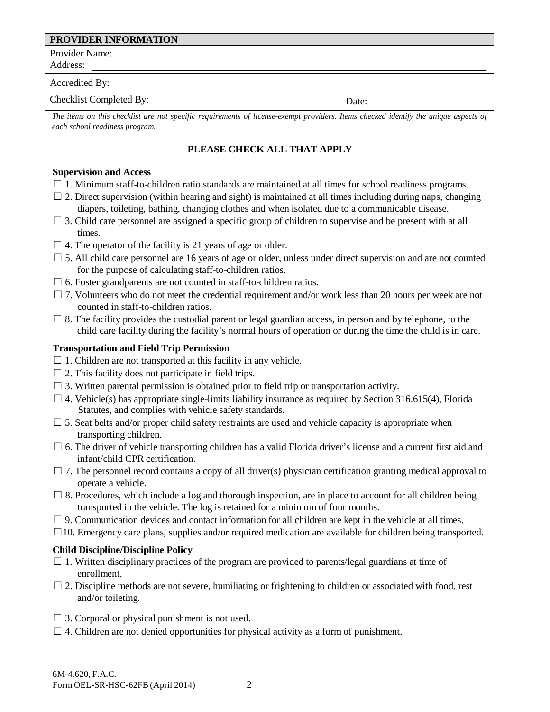| PROVIDER INFORMATION    |       |
|-------------------------|-------|
| Provider Name:          |       |
| Address:                |       |
| Accredited By:          |       |
| Checklist Completed By: | Date: |

The items on this checklist are not specific requirements of license-exempt providers. Items checked identify the unique aspects of *each school readiness program.*

# **PLEASE CHECK ALL THAT APPLY**

#### **Supervision and Access**

- $\Box$  1. Minimum staff-to-children ratio standards are maintained at all times for school readiness programs.
- $\Box$  2. Direct supervision (within hearing and sight) is maintained at all times including during naps, changing diapers, toileting, bathing, changing clothes and when isolated due to a communicable disease.
- $\Box$  3. Child care personnel are assigned a specific group of children to supervise and be present with at all times.
- $\Box$  4. The operator of the facility is 21 years of age or older.
- $\square$  5. All child care personnel are 16 years of age or older, unless under direct supervision and are not counted for the purpose of calculating staff-to-children ratios.
- $\Box$  6. Foster grandparents are not counted in staff-to-children ratios.
- $\Box$  7. Volunteers who do not meet the credential requirement and/or work less than 20 hours per week are not counted in staff-to-children ratios.
- $\square$  8. The facility provides the custodial parent or legal guardian access, in person and by telephone, to the child care facility during the facility's normal hours of operation or during the time the child is in care.

## **Transportation and Field Trip Permission**

- $\Box$  1. Children are not transported at this facility in any vehicle.
- $\Box$  2. This facility does not participate in field trips.
- $\Box$  3. Written parental permission is obtained prior to field trip or transportation activity.
- $\Box$  4. Vehicle(s) has appropriate single-limits liability insurance as required by Section 316.615(4), Florida Statutes, and complies with vehicle safety standards.
- $\square$  5. Seat belts and/or proper child safety restraints are used and vehicle capacity is appropriate when transporting children.
- $\Box$  6. The driver of vehicle transporting children has a valid Florida driver's license and a current first aid and infant/child CPR certification.
- $\Box$  7. The personnel record contains a copy of all driver(s) physician certification granting medical approval to operate a vehicle.
- $\Box$  8. Procedures, which include a log and thorough inspection, are in place to account for all children being transported in the vehicle. The log is retained for a minimum of four months.
- $\Box$  9. Communication devices and contact information for all children are kept in the vehicle at all times.
- ☐10. Emergency care plans, supplies and/or required medication are available for children being transported.

# **Child Discipline/Discipline Policy**

- $\Box$  1. Written disciplinary practices of the program are provided to parents/legal guardians at time of enrollment.
- $\Box$  2. Discipline methods are not severe, humiliating or frightening to children or associated with food, rest and/or toileting.
- $\Box$  3. Corporal or physical punishment is not used.
- $\Box$  4. Children are not denied opportunities for physical activity as a form of punishment.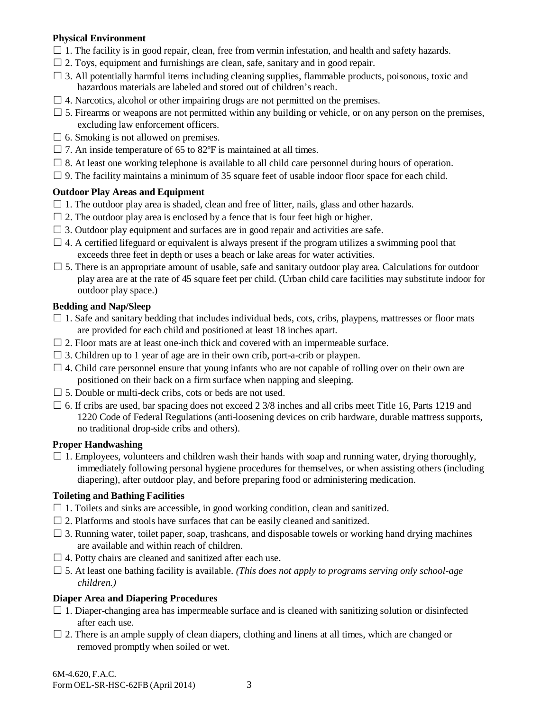## **Physical Environment**

- $\Box$  1. The facility is in good repair, clean, free from vermin infestation, and health and safety hazards.
- $\Box$  2. Toys, equipment and furnishings are clean, safe, sanitary and in good repair.
- $\Box$  3. All potentially harmful items including cleaning supplies, flammable products, poisonous, toxic and hazardous materials are labeled and stored out of children's reach.
- $\Box$  4. Narcotics, alcohol or other impairing drugs are not permitted on the premises.
- $\Box$  5. Firearms or weapons are not permitted within any building or vehicle, or on any person on the premises, excluding law enforcement officers.
- $\Box$  6. Smoking is not allowed on premises.
- $\Box$  7. An inside temperature of 65 to 82 $\degree$ F is maintained at all times.
- $\Box$  8. At least one working telephone is available to all child care personnel during hours of operation.
- $\Box$  9. The facility maintains a minimum of 35 square feet of usable indoor floor space for each child.

## **Outdoor Play Areas and Equipment**

- $\Box$  1. The outdoor play area is shaded, clean and free of litter, nails, glass and other hazards.
- $\Box$  2. The outdoor play area is enclosed by a fence that is four feet high or higher.
- $\Box$  3. Outdoor play equipment and surfaces are in good repair and activities are safe.
- $\Box$  4. A certified lifeguard or equivalent is always present if the program utilizes a swimming pool that exceeds three feet in depth or uses a beach or lake areas for water activities.
- $\Box$  5. There is an appropriate amount of usable, safe and sanitary outdoor play area. Calculations for outdoor play area are at the rate of 45 square feet per child. (Urban child care facilities may substitute indoor for outdoor play space.)

## **Bedding and Nap/Sleep**

- $\Box$  1. Safe and sanitary bedding that includes individual beds, cots, cribs, playpens, mattresses or floor mats are provided for each child and positioned at least 18 inches apart.
- $\Box$  2. Floor mats are at least one-inch thick and covered with an impermeable surface.
- $\Box$  3. Children up to 1 year of age are in their own crib, port-a-crib or playpen.
- $\Box$  4. Child care personnel ensure that young infants who are not capable of rolling over on their own are positioned on their back on a firm surface when napping and sleeping.
- $\Box$  5. Double or multi-deck cribs, cots or beds are not used.
- $\Box$  6. If cribs are used, bar spacing does not exceed 2 3/8 inches and all cribs meet Title 16, Parts 1219 and 1220 Code of Federal Regulations (anti-loosening devices on crib hardware, durable mattress supports, no traditional drop-side cribs and others).

#### **Proper Handwashing**

 $\Box$  1. Employees, volunteers and children wash their hands with soap and running water, drying thoroughly, immediately following personal hygiene procedures for themselves, or when assisting others (including diapering), after outdoor play, and before preparing food or administering medication.

#### **Toileting and Bathing Facilities**

- $\Box$  1. Toilets and sinks are accessible, in good working condition, clean and sanitized.
- $\Box$  2. Platforms and stools have surfaces that can be easily cleaned and sanitized.
- $\Box$  3. Running water, toilet paper, soap, trashcans, and disposable towels or working hand drying machines are available and within reach of children.
- $\Box$  4. Potty chairs are cleaned and sanitized after each use.
- $\Box$  5. At least one bathing facility is available. *(This does not apply to programs serving only school-age children.)*

# **Diaper Area and Diapering Procedures**

- $\Box$  1. Diaper-changing area has impermeable surface and is cleaned with sanitizing solution or disinfected after each use.
- $\Box$  2. There is an ample supply of clean diapers, clothing and linens at all times, which are changed or removed promptly when soiled or wet.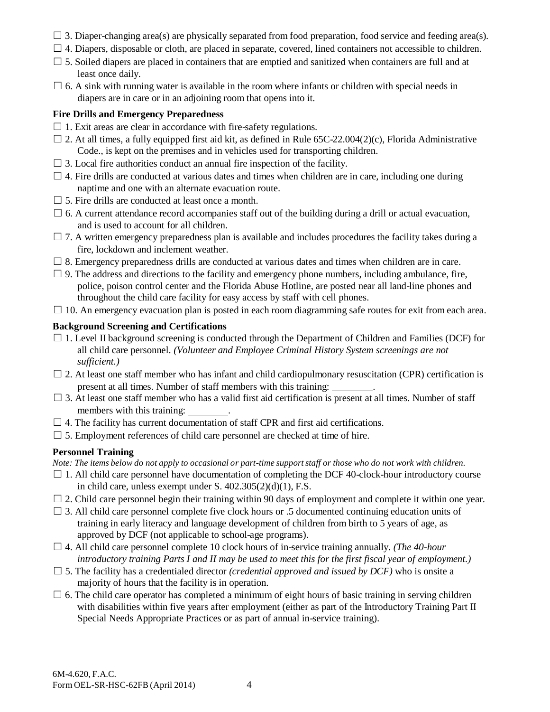- $\Box$  3. Diaper-changing area(s) are physically separated from food preparation, food service and feeding area(s).
- $\Box$  4. Diapers, disposable or cloth, are placed in separate, covered, lined containers not accessible to children.
- $\Box$  5. Soiled diapers are placed in containers that are emptied and sanitized when containers are full and at least once daily.
- $\Box$  6. A sink with running water is available in the room where infants or children with special needs in diapers are in care or in an adjoining room that opens into it.

## **Fire Drills and Emergency Preparedness**

- $\Box$  1. Exit areas are clear in accordance with fire-safety regulations.
- $\Box$  2. At all times, a fully equipped first aid kit, as defined in Rule 65C-22.004(2)(c), Florida Administrative Code., is kept on the premises and in vehicles used for transporting children.
- $\Box$  3. Local fire authorities conduct an annual fire inspection of the facility.
- $\Box$  4. Fire drills are conducted at various dates and times when children are in care, including one during naptime and one with an alternate evacuation route.
- $\Box$  5. Fire drills are conducted at least once a month.
- $\Box$  6. A current attendance record accompanies staff out of the building during a drill or actual evacuation, and is used to account for all children.
- $\Box$  7. A written emergency preparedness plan is available and includes procedures the facility takes during a fire, lockdown and inclement weather.
- $\Box$  8. Emergency preparedness drills are conducted at various dates and times when children are in care.
- $\Box$  9. The address and directions to the facility and emergency phone numbers, including ambulance, fire, police, poison control center and the Florida Abuse Hotline, are posted near all land-line phones and throughout the child care facility for easy access by staff with cell phones.
- $\Box$  10. An emergency evacuation plan is posted in each room diagramming safe routes for exit from each area.

# **Background Screening and Certifications**

- $\Box$  1. Level II background screening is conducted through the Department of Children and Families (DCF) for all child care personnel. *(Volunteer and Employee Criminal History System screenings are not sufficient.)*
- $\Box$  2. At least one staff member who has infant and child cardiopulmonary resuscitation (CPR) certification is present at all times. Number of staff members with this training: .
- $\square$  3. At least one staff member who has a valid first aid certification is present at all times. Number of staff members with this training:
- $\Box$  4. The facility has current documentation of staff CPR and first aid certifications.
- $\Box$  5. Employment references of child care personnel are checked at time of hire.

# **Personnel Training**

Note: The items below do not apply to occasional or part-time support staff or those who do not work with children.

- $\Box$  1. All child care personnel have documentation of completing the DCF 40-clock-hour introductory course in child care, unless exempt under S. 402.305(2)(d)(1), F.S.
- $\Box$  2. Child care personnel begin their training within 90 days of employment and complete it within one year.
- $\Box$  3. All child care personnel complete five clock hours or .5 documented continuing education units of training in early literacy and language development of children from birth to 5 years of age, as approved by DCF (not applicable to school-age programs).
- $\Box$  4. All child care personnel complete 10 clock hours of in-service training annually. *(The 40-hour* introductory training Parts I and II may be used to meet this for the first fiscal year of employment.)
- $\Box$  5. The facility has a credentialed director *(credential approved and issued by DCF)* who is onsite a majority of hours that the facility is in operation.
- $\Box$  6. The child care operator has completed a minimum of eight hours of basic training in serving children with disabilities within five years after employment (either as part of the Introductory Training Part II Special Needs Appropriate Practices or as part of annual in-service training).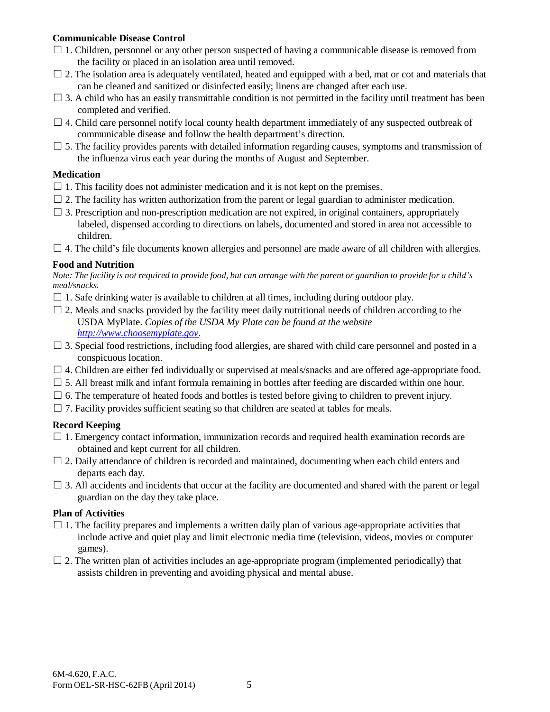# **Communicable Disease Control**

- $\Box$  1. Children, personnel or any other person suspected of having a communicable disease is removed from the facility or placed in an isolation area until removed.
- $\Box$  2. The isolation area is adequately ventilated, heated and equipped with a bed, mat or cot and materials that can be cleaned and sanitized or disinfected easily; linens are changed after each use.
- $\Box$  3. A child who has an easily transmittable condition is not permitted in the facility until treatment has been completed and verified.
- $\Box$  4. Child care personnel notify local county health department immediately of any suspected outbreak of communicable disease and follow the health department's direction.
- $\Box$  5. The facility provides parents with detailed information regarding causes, symptoms and transmission of the influenza virus each year during the months of August and September.

#### **Medication**

- $\Box$  1. This facility does not administer medication and it is not kept on the premises.
- $\Box$  2. The facility has written authorization from the parent or legal guardian to administer medication.
- $\Box$  3. Prescription and non-prescription medication are not expired, in original containers, appropriately labeled, dispensed according to directions on labels, documented and stored in area not accessible to children.
- $\Box$  4. The child's file documents known allergies and personnel are made aware of all children with allergies.

## **Food and Nutrition**

Note: The facility is not required to provide food, but can arrange with the parent or guardian to provide for a child's *meal/snacks.*

- $\Box$  1. Safe drinking water is available to children at all times, including during outdoor play.
- $\Box$  2. Meals and snacks provided by the facility meet daily nutritional needs of children according to the USDA MyPlate. *Copies of the USDA My Plate can be found at the website [http://www.choosemyplate.gov.](http://www.choosemyplate.gov/)*
- $\Box$  3. Special food restrictions, including food allergies, are shared with child care personnel and posted in a conspicuous location.
- □ 4. Children are either fed individually or supervised at meals/snacks and are offered age-appropriate food.
- $\Box$  5. All breast milk and infant formula remaining in bottles after feeding are discarded within one hour.
- $\Box$  6. The temperature of heated foods and bottles is tested before giving to children to prevent injury.
- $\Box$  7. Facility provides sufficient seating so that children are seated at tables for meals.

# **Record Keeping**

- $\Box$  1. Emergency contact information, immunization records and required health examination records are obtained and kept current for all children.
- $\Box$  2. Daily attendance of children is recorded and maintained, documenting when each child enters and departs each day.
- $\Box$  3. All accidents and incidents that occur at the facility are documented and shared with the parent or legal guardian on the day they take place.

#### **Plan of Activities**

- $\Box$  1. The facility prepares and implements a written daily plan of various age-appropriate activities that include active and quiet play and limit electronic media time (television, videos, movies or computer games).
- $\Box$  2. The written plan of activities includes an age-appropriate program (implemented periodically) that assists children in preventing and avoiding physical and mental abuse.